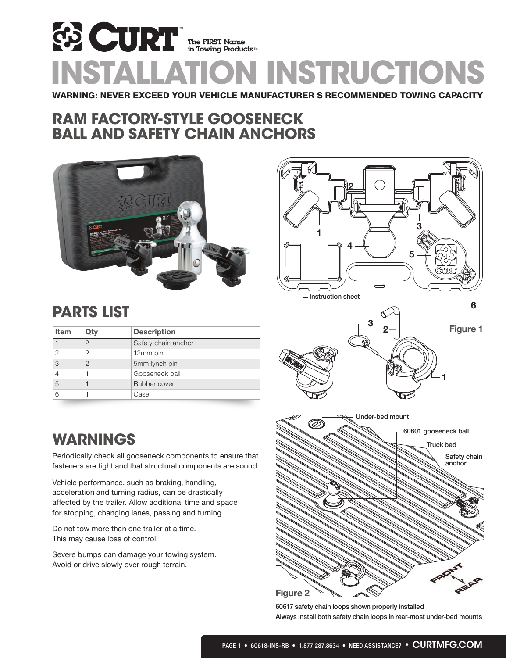# WARNING: NEVER EXCEED YOUR VEHICLE MANUFACTURER S RECOMMENDED TOWING CAPACITY **ED CURT** The FIRST Name<br>INSTALLATION INSTRUCTIONS

## RAM FACTORY-STYLE GOOSENECK BALL AND SAFETY CHAIN ANCHORS





## PARTS LIST

| Item          | Qty           | <b>Description</b>  |
|---------------|---------------|---------------------|
|               | $\mathcal{P}$ | Safety chain anchor |
| $\mathcal{P}$ | 2             | 12mm pin            |
| 3             | $\mathcal{P}$ | 5mm lynch pin       |
| 4             |               | Gooseneck ball      |
| 5             |               | Rubber cover        |
| 6             |               | Case                |

## WARNINGS

Periodically check all gooseneck components to ensure that fasteners are tight and that structural components are sound.

Vehicle performance, such as braking, handling, acceleration and turning radius, can be drastically affected by the trailer. Allow additional time and space for stopping, changing lanes, passing and turning.

Do not tow more than one trailer at a time. This may cause loss of control.

Severe bumps can damage your towing system. Avoid or drive slowly over rough terrain.



60617 safety chain loops shown properly installed Always install both safety chain loops in rear-most under-bed mounts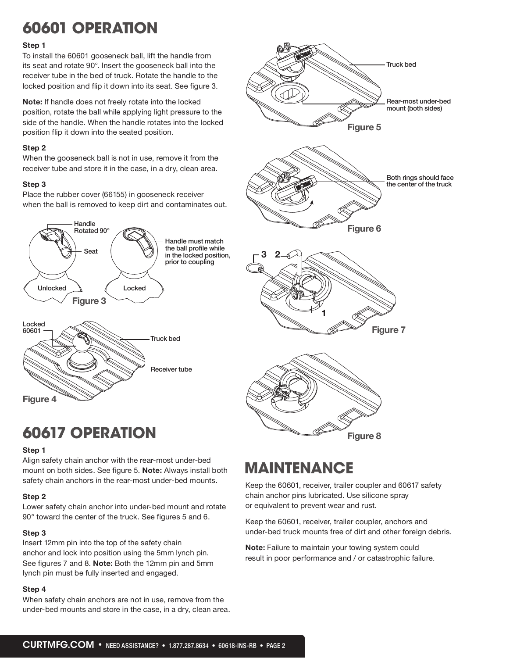## 60601 OPERATION

#### **Step 1**

To install the 60601 gooseneck ball, lift the handle from its seat and rotate 90°. Insert the gooseneck ball into the receiver tube in the bed of truck. Rotate the handle to the locked position and flip it down into its seat. See figure 3.

**Note:** If handle does not freely rotate into the locked position, rotate the ball while applying light pressure to the side of the handle. When the handle rotates into the locked position flip it down into the seated position.

#### **Step 2**

When the gooseneck ball is not in use, remove it from the receiver tube and store it in the case, in a dry, clean area.

#### **Step 3**

Place the rubber cover (66155) in gooseneck receiver when the ball is removed to keep dirt and contaminates out.



## **Figure 5 Figure 6 Figure 7 Figure 8**  $2 - \bigcirc$ **1 3** Rear-most under-bed mount (both sides) Both rings should face the center of the truck Truck bed

## 60617 OPERATION

#### **Step 1**

Align safety chain anchor with the rear-most under-bed mount on both sides. See figure 5. **Note:** Always install both safety chain anchors in the rear-most under-bed mounts.

#### **Step 2**

Lower safety chain anchor into under-bed mount and rotate 90° toward the center of the truck. See figures 5 and 6.

#### **Step 3**

Insert 12mm pin into the top of the safety chain anchor and lock into position using the 5mm lynch pin. See figures 7 and 8. **Note:** Both the 12mm pin and 5mm lynch pin must be fully inserted and engaged.

#### **Step 4**

When safety chain anchors are not in use, remove from the under-bed mounts and store in the case, in a dry, clean area.

## MAINTENANCE

Keep the 60601, receiver, trailer coupler and 60617 safety chain anchor pins lubricated. Use silicone spray or equivalent to prevent wear and rust.

Keep the 60601, receiver, trailer coupler, anchors and under-bed truck mounts free of dirt and other foreign debris.

**Note:** Failure to maintain your towing system could result in poor performance and / or catastrophic failure.